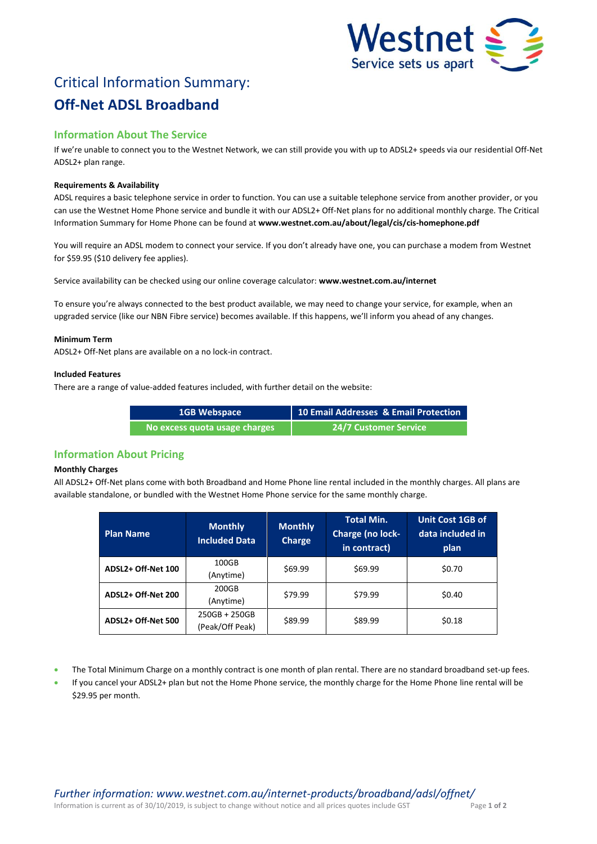

# Critical Information Summary: **Off-Net ADSL Broadband**

# **Information About The Service**

If we're unable to connect you to the Westnet Network, we can still provide you with up to ADSL2+ speeds via our residential Off-Net ADSL2+ plan range.

# **Requirements & Availability**

ADSL requires a basic telephone service in order to function. You can use a suitable telephone service from another provider, or you can use the Westnet Home Phone service and bundle it with our ADSL2+ Off-Net plans for no additional monthly charge. The Critical Information Summary for Home Phone can be found at **www.westnet.com.au/about/legal/cis/cis-homephone.pdf**

You will require an ADSL modem to connect your service. If you don't already have one, you can purchase a modem from Westnet for \$59.95 (\$10 delivery fee applies).

Service availability can be checked using our online coverage calculator: **www.westnet.com.au/internet**

To ensure you're always connected to the best product available, we may need to change your service, for example, when an upgraded service (like our NBN Fibre service) becomes available. If this happens, we'll inform you ahead of any changes.

## **Minimum Term**

ADSL2+ Off-Net plans are available on a no lock-in contract.

## **Included Features**

There are a range of value-added features included, with further detail on the website:

| <b>1GB Webspace</b>           | 10 Email Addresses & Email Protection |
|-------------------------------|---------------------------------------|
| No excess quota usage charges | <b>24/7 Customer Service</b>          |

# **Information About Pricing**

## **Monthly Charges**

All ADSL2+ Off-Net plans come with both Broadband and Home Phone line rental included in the monthly charges. All plans are available standalone, or bundled with the Westnet Home Phone service for the same monthly charge.

| <b>Plan Name</b>   | <b>Monthly</b><br><b>Included Data</b> | <b>Monthly</b><br><b>Charge</b> | <b>Total Min.</b><br>Charge (no lock-<br>in contract) | <b>Unit Cost 1GB of</b><br>data included in<br>plan |
|--------------------|----------------------------------------|---------------------------------|-------------------------------------------------------|-----------------------------------------------------|
| ADSL2+ Off-Net 100 | 100GB<br>(Anytime)                     | \$69.99                         | \$69.99                                               | \$0.70                                              |
| ADSL2+ Off-Net 200 | 200GB<br>(Anytime)                     | \$79.99                         | \$79.99                                               | \$0.40                                              |
| ADSL2+ Off-Net 500 | $250GB + 250GB$<br>(Peak/Off Peak)     | \$89.99                         | \$89.99                                               | \$0.18                                              |

- The Total Minimum Charge on a monthly contract is one month of plan rental. There are no standard broadband set-up fees.
- If you cancel your ADSL2+ plan but not the Home Phone service, the monthly charge for the Home Phone line rental will be \$29.95 per month.